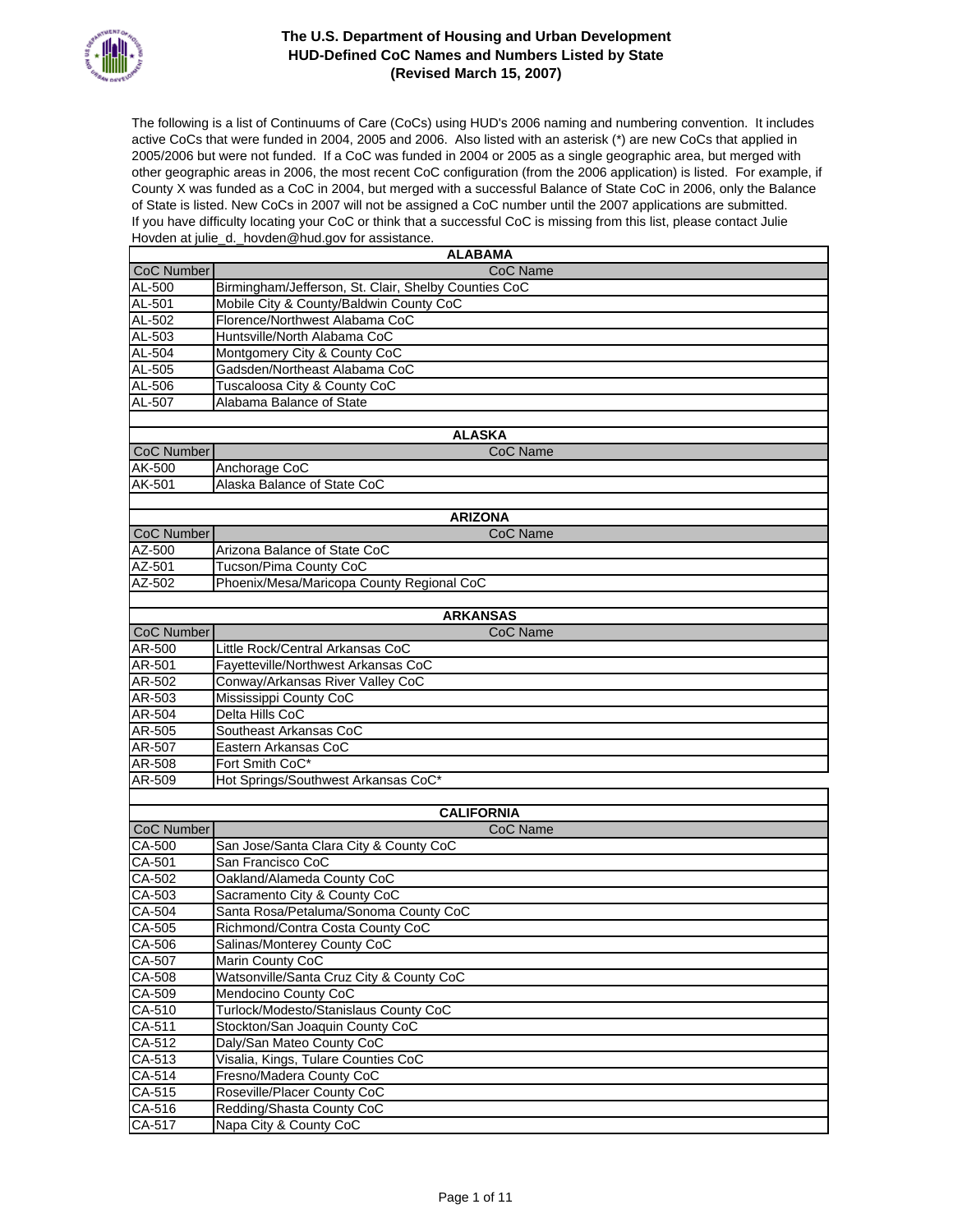

The following is a list of Continuums of Care (CoCs) using HUD's 2006 naming and numbering convention. It includes active CoCs that were funded in 2004, 2005 and 2006. Also listed with an asterisk (\*) are new CoCs that applied in 2005/2006 but were not funded. If a CoC was funded in 2004 or 2005 as a single geographic area, but merged with other geographic areas in 2006, the most recent CoC configuration (from the 2006 application) is listed. For example, if County X was funded as a CoC in 2004, but merged with a successful Balance of State CoC in 2006, only the Balance of State is listed. New CoCs in 2007 will not be assigned a CoC number until the 2007 applications are submitted. If you have difficulty locating your CoC or think that a successful CoC is missing from this list, please contact Julie Hovden at julie\_d.\_hovden@hud.gov for assistance.

| <b>ALABAMA</b>       |                                                            |  |
|----------------------|------------------------------------------------------------|--|
| CoC Number           | CoC Name                                                   |  |
| $AL-500$             | Birmingham/Jefferson, St. Clair, Shelby Counties CoC       |  |
| AL-501               | Mobile City & County/Baldwin County CoC                    |  |
| AL-502               | Florence/Northwest Alabama CoC                             |  |
| AL-503               | Huntsville/North Alabama CoC                               |  |
| $AL-504$             | Montgomery City & County CoC                               |  |
| $AL-505$             | Gadsden/Northeast Alabama CoC                              |  |
| AL-506               | Tuscaloosa City & County CoC                               |  |
| AL-507               | Alabama Balance of State                                   |  |
|                      |                                                            |  |
|                      | <b>ALASKA</b>                                              |  |
| CoC Number           | CoC Name                                                   |  |
| <b>AK-500</b>        | Anchorage CoC                                              |  |
| AK-501               | Alaska Balance of State CoC                                |  |
|                      |                                                            |  |
| <b>ARIZONA</b>       |                                                            |  |
| CoC Number           | CoC Name                                                   |  |
| AZ-500               | Arizona Balance of State CoC                               |  |
| AZ-501               | Tucson/Pima County CoC                                     |  |
| $AZ-502$             | Phoenix/Mesa/Maricopa County Regional CoC                  |  |
|                      |                                                            |  |
|                      | <b>ARKANSAS</b>                                            |  |
| CoC Number<br>AR-500 | CoC Name<br>Little Rock/Central Arkansas CoC               |  |
|                      |                                                            |  |
| AR-501               | Fayetteville/Northwest Arkansas CoC                        |  |
| AR-502               | Conway/Arkansas River Valley CoC<br>Mississippi County CoC |  |
| $AR-503$             |                                                            |  |
| AR-504               | Delta Hills CoC                                            |  |
| AR-505               | Southeast Arkansas CoC                                     |  |
| AR-507               | Eastern Arkansas CoC                                       |  |
| AR-508               | Fort Smith CoC*                                            |  |
| AR-509               | Hot Springs/Southwest Arkansas CoC*                        |  |
|                      | <b>CALIFORNIA</b>                                          |  |
| CoC Number           | CoC Name                                                   |  |
| CA-500               | San Jose/Santa Clara City & County CoC                     |  |
| CA-501               | San Francisco CoC                                          |  |
| CA-502               | Oakland/Alameda County CoC                                 |  |
| CA-503               | Sacramento City & County CoC                               |  |
| CA-504               | Santa Rosa/Petaluma/Sonoma County CoC                      |  |
| CA-505               | Richmond/Contra Costa County CoC                           |  |
| CA-506               | Salinas/Monterey County CoC                                |  |
| CA-507               | <b>Marin County CoC</b>                                    |  |
| CA-508               | Watsonville/Santa Cruz City & County CoC                   |  |
| $CA-509$             | Mendocino County CoC                                       |  |
| CA-510               | Turlock/Modesto/Stanislaus County CoC                      |  |
| $CA-511$             | Stockton/San Joaquin County CoC                            |  |
| CA-512               | Daly/San Mateo County CoC                                  |  |
| CA-513               | Visalia, Kings, Tulare Counties CoC                        |  |
| CA-514               | Fresno/Madera County CoC                                   |  |
| CA-515               | Roseville/Placer County CoC                                |  |
| CA-516               | Redding/Shasta County CoC                                  |  |
| CA-517               | Napa City & County CoC                                     |  |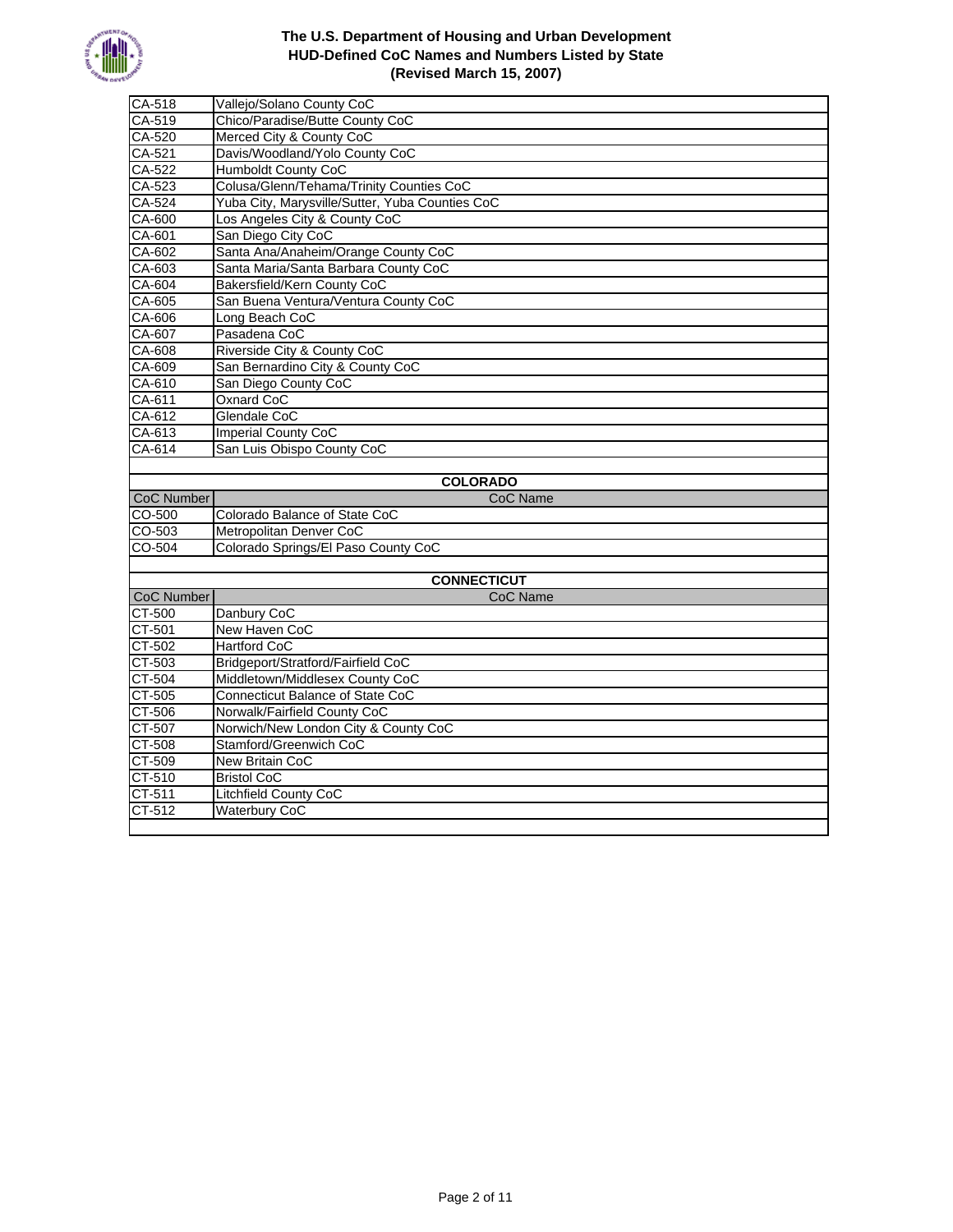

| $CA-518$          | Vallejo/Solano County CoC                       |
|-------------------|-------------------------------------------------|
| CA-519            | Chico/Paradise/Butte County CoC                 |
| CA-520            | Merced City & County CoC                        |
| $CA-521$          | Davis/Woodland/Yolo County CoC                  |
| CA-522            | <b>Humboldt County CoC</b>                      |
| CA-523            | Colusa/Glenn/Tehama/Trinity Counties CoC        |
| CA-524            | Yuba City, Marysville/Sutter, Yuba Counties CoC |
| CA-600            | Los Angeles City & County CoC                   |
| CA-601            | San Diego City CoC                              |
| CA-602            | Santa Ana/Anaheim/Orange County CoC             |
| CA-603            | Santa Maria/Santa Barbara County CoC            |
| CA-604            | Bakersfield/Kern County CoC                     |
| $CA-605$          | San Buena Ventura/Ventura County CoC            |
| CA-606            | Long Beach CoC                                  |
| CA-607            | Pasadena CoC                                    |
| CA-608            | Riverside City & County CoC                     |
| CA-609            | San Bernardino City & County CoC                |
| CA-610            | San Diego County CoC                            |
| CA-611            | <b>Oxnard CoC</b>                               |
| CA-612            | Glendale CoC                                    |
| CA-613            | <b>Imperial County CoC</b>                      |
| CA-614            | San Luis Obispo County CoC                      |
|                   |                                                 |
|                   |                                                 |
|                   | <b>COLORADO</b>                                 |
| <b>CoC Number</b> | <b>CoC Name</b>                                 |
| CO-500            | Colorado Balance of State CoC                   |
| CO-503            | Metropolitan Denver CoC                         |
| CO-504            | Colorado Springs/El Paso County CoC             |
|                   |                                                 |
|                   | <b>CONNECTICUT</b>                              |
| <b>CoC Number</b> | <b>CoC Name</b>                                 |
| CT-500            | Danbury CoC                                     |
| CT-501            | New Haven CoC                                   |
| CT-502            | <b>Hartford CoC</b>                             |
| CT-503            | Bridgeport/Stratford/Fairfield CoC              |
| CT-504            | Middletown/Middlesex County CoC                 |
| CT-505            | Connecticut Balance of State CoC                |
| CT-506            | Norwalk/Fairfield County CoC                    |
| CT-507            | Norwich/New London City & County CoC            |
| CT-508            | Stamford/Greenwich CoC                          |
| CT-509            | New Britain CoC                                 |
| CT-510            | <b>Bristol CoC</b>                              |
| CT-511<br>CT-512  | Litchfield County CoC<br><b>Waterbury CoC</b>   |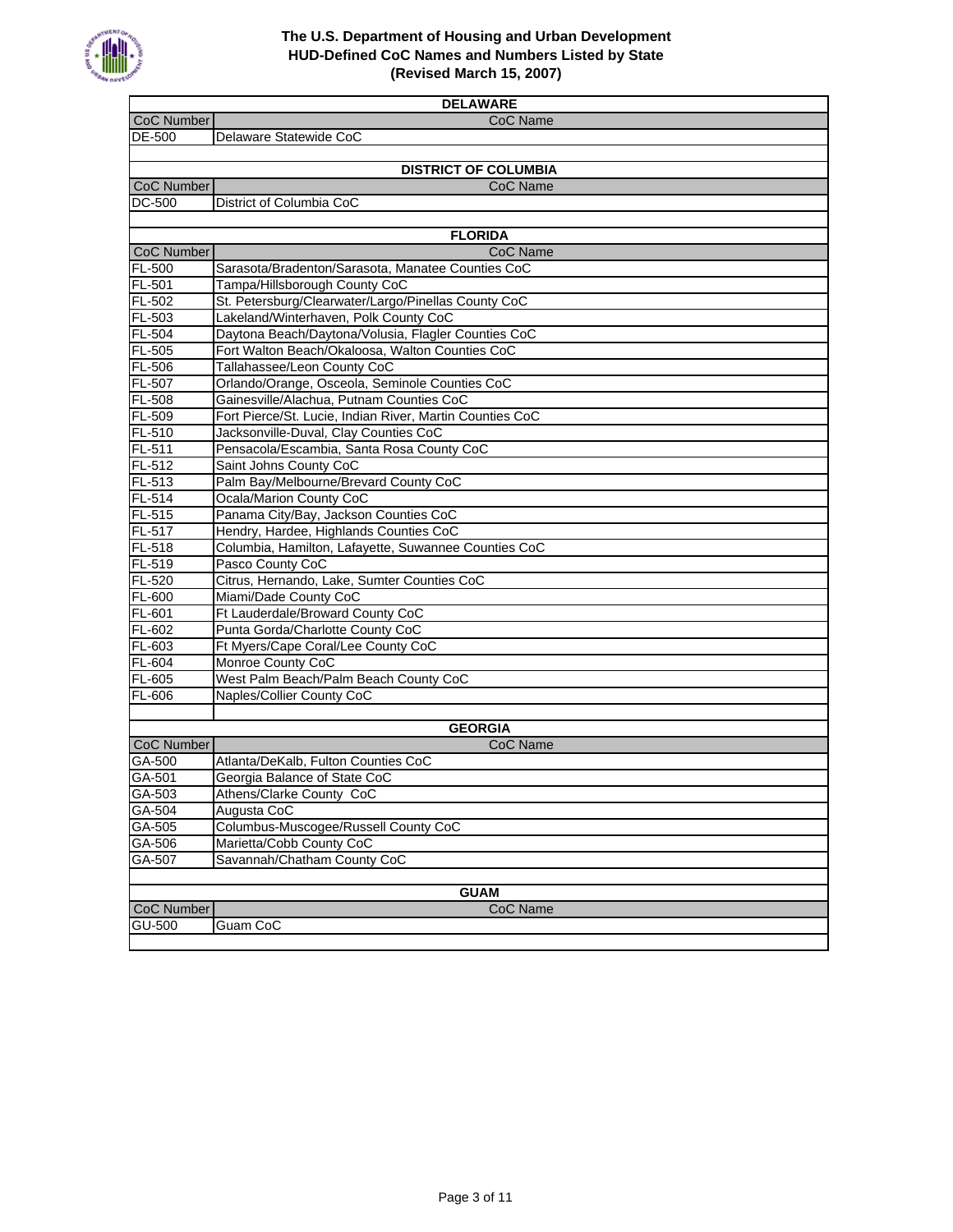

| <b>DELAWARE</b>               |                                                                                                        |
|-------------------------------|--------------------------------------------------------------------------------------------------------|
| <b>CoC Number</b>             | CoC Name                                                                                               |
| DE-500                        | Delaware Statewide CoC                                                                                 |
|                               |                                                                                                        |
|                               | <b>DISTRICT OF COLUMBIA</b>                                                                            |
| CoC Number                    | CoC Name                                                                                               |
| <b>DC-500</b>                 | District of Columbia CoC                                                                               |
|                               |                                                                                                        |
|                               | <b>FLORIDA</b>                                                                                         |
| CoC Number                    | CoC Name                                                                                               |
| FL-500                        | Sarasota/Bradenton/Sarasota, Manatee Counties CoC                                                      |
| FL-501                        | Tampa/Hillsborough County CoC                                                                          |
| $FL-502$                      | St. Petersburg/Clearwater/Largo/Pinellas County CoC                                                    |
| FL-503                        | Lakeland/Winterhaven, Polk County CoC                                                                  |
| FL-504<br>FL-505              | Daytona Beach/Daytona/Volusia, Flagler Counties CoC<br>Fort Walton Beach/Okaloosa, Walton Counties CoC |
| FL-506                        | Tallahassee/Leon County CoC                                                                            |
| FL-507                        | Orlando/Orange, Osceola, Seminole Counties CoC                                                         |
| $FL-508$                      | Gainesville/Alachua, Putnam Counties CoC                                                               |
| FL-509                        | Fort Pierce/St. Lucie, Indian River, Martin Counties CoC                                               |
| FL-510                        | Jacksonville-Duval, Clay Counties CoC                                                                  |
| $FL-511$                      | Pensacola/Escambia, Santa Rosa County CoC                                                              |
| $FL-512$                      | Saint Johns County CoC                                                                                 |
| FL-513                        | Palm Bay/Melbourne/Brevard County CoC                                                                  |
| FL-514                        | Ocala/Marion County CoC                                                                                |
| $FL-515$                      | Panama City/Bay, Jackson Counties CoC                                                                  |
| FL-517                        | Hendry, Hardee, Highlands Counties CoC                                                                 |
| FL-518                        | Columbia, Hamilton, Lafayette, Suwannee Counties CoC                                                   |
| FL-519                        | Pasco County CoC                                                                                       |
| FL-520                        | Citrus, Hernando, Lake, Sumter Counties CoC                                                            |
| FL-600                        | Miami/Dade County CoC                                                                                  |
| FL-601                        | Ft Lauderdale/Broward County CoC                                                                       |
| FL-602                        | Punta Gorda/Charlotte County CoC                                                                       |
| FL-603                        | Ft Myers/Cape Coral/Lee County CoC                                                                     |
| FL-604                        | Monroe County CoC                                                                                      |
| FL-605                        | West Palm Beach/Palm Beach County CoC                                                                  |
| FL-606                        | Naples/Collier County CoC                                                                              |
|                               |                                                                                                        |
| CoC Number                    | <b>GEORGIA</b><br>CoC Name                                                                             |
| GA-500                        | Atlanta/DeKalb, Fulton Counties CoC                                                                    |
| GA-501                        | Georgia Balance of State CoC                                                                           |
| GA-503                        | Athens/Clarke County CoC                                                                               |
| GA-504                        | Augusta CoC                                                                                            |
| GA-505                        | Columbus-Muscogee/Russell County CoC                                                                   |
| GA-506                        | Marietta/Cobb County CoC                                                                               |
| GA-507                        | Savannah/Chatham County CoC                                                                            |
|                               |                                                                                                        |
| <b>GUAM</b>                   |                                                                                                        |
| <b>CoC Name</b><br>CoC Number |                                                                                                        |
| GU-500                        | Guam CoC                                                                                               |
|                               |                                                                                                        |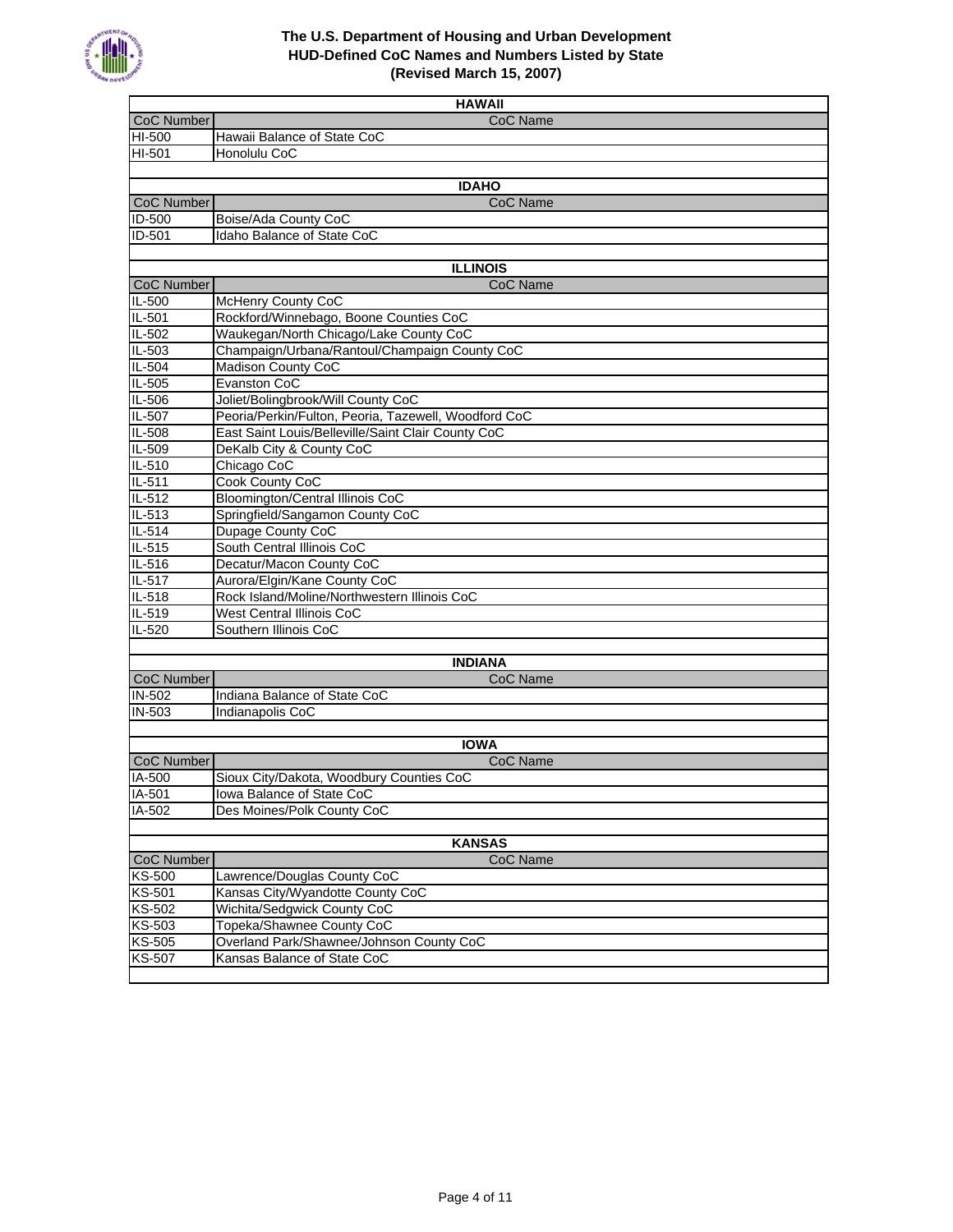

| <b>HAWAII</b>     |                                                      |  |
|-------------------|------------------------------------------------------|--|
| CoC Number        | CoC Name                                             |  |
| HI-500            | Hawaii Balance of State CoC                          |  |
| HI-501            | Honolulu CoC                                         |  |
|                   |                                                      |  |
|                   | <b>IDAHO</b>                                         |  |
| CoC Number        | CoC Name                                             |  |
| ID-500            | Boise/Ada County CoC                                 |  |
| ID-501            | Idaho Balance of State CoC                           |  |
|                   |                                                      |  |
|                   | <b>ILLINOIS</b>                                      |  |
| CoC Number        | CoC Name                                             |  |
| $IL-500$          | McHenry County CoC                                   |  |
| IL-501            | Rockford/Winnebago, Boone Counties CoC               |  |
| IL-502            | Waukegan/North Chicago/Lake County CoC               |  |
| IL-503            | Champaign/Urbana/Rantoul/Champaign County CoC        |  |
| $IL-504$          | <b>Madison County CoC</b>                            |  |
| IL-505            | Evanston CoC                                         |  |
| IL-506            | Joliet/Bolingbrook/Will County CoC                   |  |
| IL-507            | Peoria/Perkin/Fulton, Peoria, Tazewell, Woodford CoC |  |
| IL-508            | East Saint Louis/Belleville/Saint Clair County CoC   |  |
| IL-509            | DeKalb City & County CoC                             |  |
| IL-510            | Chicago CoC                                          |  |
| IL-511<br>IL-512  | Cook County CoC<br>Bloomington/Central Illinois CoC  |  |
| $IL-513$          | Springfield/Sangamon County CoC                      |  |
| $IL-514$          | Dupage County CoC                                    |  |
| IL-515            | South Central Illinois CoC                           |  |
| $IL-516$          | Decatur/Macon County CoC                             |  |
| IL-517            | Aurora/Elgin/Kane County CoC                         |  |
| IL-518            | Rock Island/Moline/Northwestern Illinois CoC         |  |
| IL-519            | West Central Illinois CoC                            |  |
| IL-520            | Southern Illinois CoC                                |  |
|                   |                                                      |  |
|                   | <b>INDIANA</b>                                       |  |
| CoC Number        | CoC Name                                             |  |
| $IN-502$          | Indiana Balance of State CoC                         |  |
| IN-503            | Indianapolis CoC                                     |  |
|                   |                                                      |  |
|                   | <b>IOWA</b>                                          |  |
| <b>CoC Number</b> | <b>CoC Name</b>                                      |  |
| IA-500            | Sioux City/Dakota, Woodbury Counties CoC             |  |
| $IA-501$          | Iowa Balance of State CoC                            |  |
| IA-502            | Des Moines/Polk County CoC                           |  |
|                   |                                                      |  |
|                   | <b>KANSAS</b>                                        |  |
| <b>CoC Number</b> | <b>CoC Name</b>                                      |  |
| <b>KS-500</b>     | Lawrence/Douglas County CoC                          |  |
| <b>KS-501</b>     | Kansas City/Wyandotte County CoC                     |  |
| <b>KS-502</b>     | Wichita/Sedgwick County CoC                          |  |
| KS-503            | Topeka/Shawnee County CoC                            |  |
| KS-505            | Overland Park/Shawnee/Johnson County CoC             |  |
| <b>KS-507</b>     | Kansas Balance of State CoC                          |  |
|                   |                                                      |  |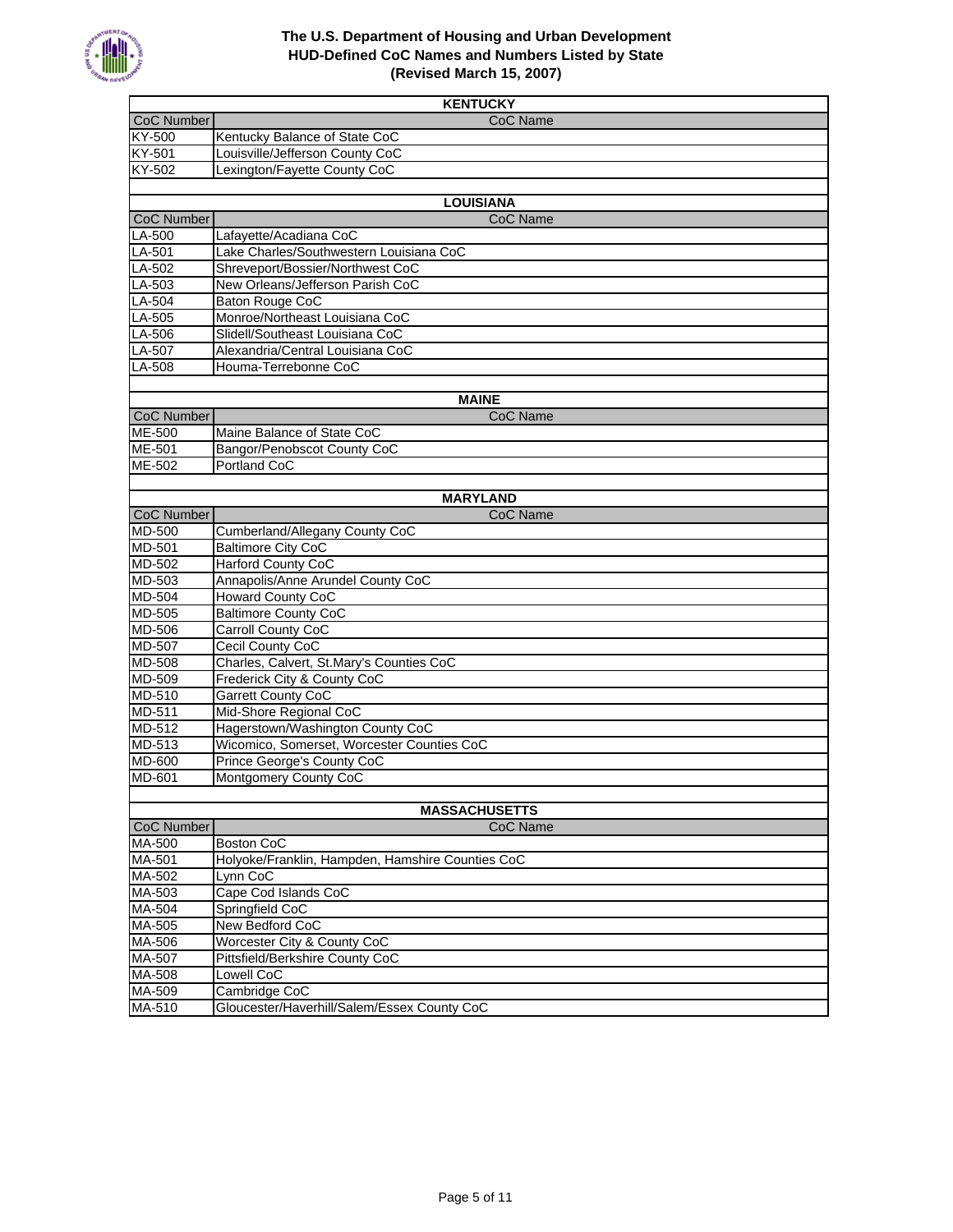

|                   | <b>KENTUCKY</b>                                                          |
|-------------------|--------------------------------------------------------------------------|
| CoC Number        | CoC Name                                                                 |
| KY-500            | Kentucky Balance of State CoC                                            |
| $KY-501$          | Louisville/Jefferson County CoC                                          |
| KY-502            | Lexington/Fayette County CoC                                             |
|                   |                                                                          |
|                   | <b>LOUISIANA</b>                                                         |
| CoC Number        | CoC Name                                                                 |
| $LA-500$          | Lafayette/Acadiana CoC                                                   |
| $LA-501$          | Lake Charles/Southwestern Louisiana CoC                                  |
| LA-502            | Shreveport/Bossier/Northwest CoC                                         |
| LA-503            | New Orleans/Jefferson Parish CoC                                         |
| $LA-504$          | Baton Rouge CoC                                                          |
| LA-505            | Monroe/Northeast Louisiana CoC                                           |
| LA-506            | Slidell/Southeast Louisiana CoC                                          |
| LA-507            | Alexandria/Central Louisiana CoC                                         |
| $LA-508$          | Houma-Terrebonne CoC                                                     |
|                   |                                                                          |
| <b>CoC Number</b> | <b>MAINE</b><br>CoC Name                                                 |
| <b>ME-500</b>     | Maine Balance of State CoC                                               |
| ME-501            | Bangor/Penobscot County CoC                                              |
| ME-502            | Portland CoC                                                             |
|                   |                                                                          |
|                   | <b>MARYLAND</b>                                                          |
| CoC Number        | CoC Name                                                                 |
| MD-500            | Cumberland/Allegany County CoC                                           |
| MD-501            | <b>Baltimore City CoC</b>                                                |
| MD-502            | <b>Harford County CoC</b>                                                |
| $MD-503$          | Annapolis/Anne Arundel County CoC                                        |
| MD-504            | <b>Howard County CoC</b>                                                 |
| MD-505            | <b>Baltimore County CoC</b>                                              |
| MD-506            | <b>Carroll County CoC</b>                                                |
| <b>MD-507</b>     | Cecil County CoC                                                         |
| $MD-508$          | Charles, Calvert, St.Mary's Counties CoC                                 |
| MD-509            | Frederick City & County CoC                                              |
| $MD-510$          | <b>Garrett County CoC</b>                                                |
| MD-511            | Mid-Shore Regional CoC                                                   |
| MD-512            | Hagerstown/Washington County CoC                                         |
| MD-513<br>MD-600  | Wicomico, Somerset, Worcester Counties CoC<br>Prince George's County CoC |
| MD-601            | Montgomery County CoC                                                    |
|                   |                                                                          |
|                   | <b>MASSACHUSETTS</b>                                                     |
| <b>CoC Number</b> | CoC Name                                                                 |
| MA-500            | Boston CoC                                                               |
| MA-501            | Holyoke/Franklin, Hampden, Hamshire Counties CoC                         |
| MA-502            | Lynn CoC                                                                 |
| $MA-503$          | Cape Cod Islands CoC                                                     |
| MA-504            | Springfield CoC                                                          |
| MA-505            | New Bedford CoC                                                          |
| MA-506            | Worcester City & County CoC                                              |
| MA-507            | Pittsfield/Berkshire County CoC                                          |
| MA-508            | Lowell CoC                                                               |
| MA-509            | Cambridge CoC                                                            |
| MA-510            | Gloucester/Haverhill/Salem/Essex County CoC                              |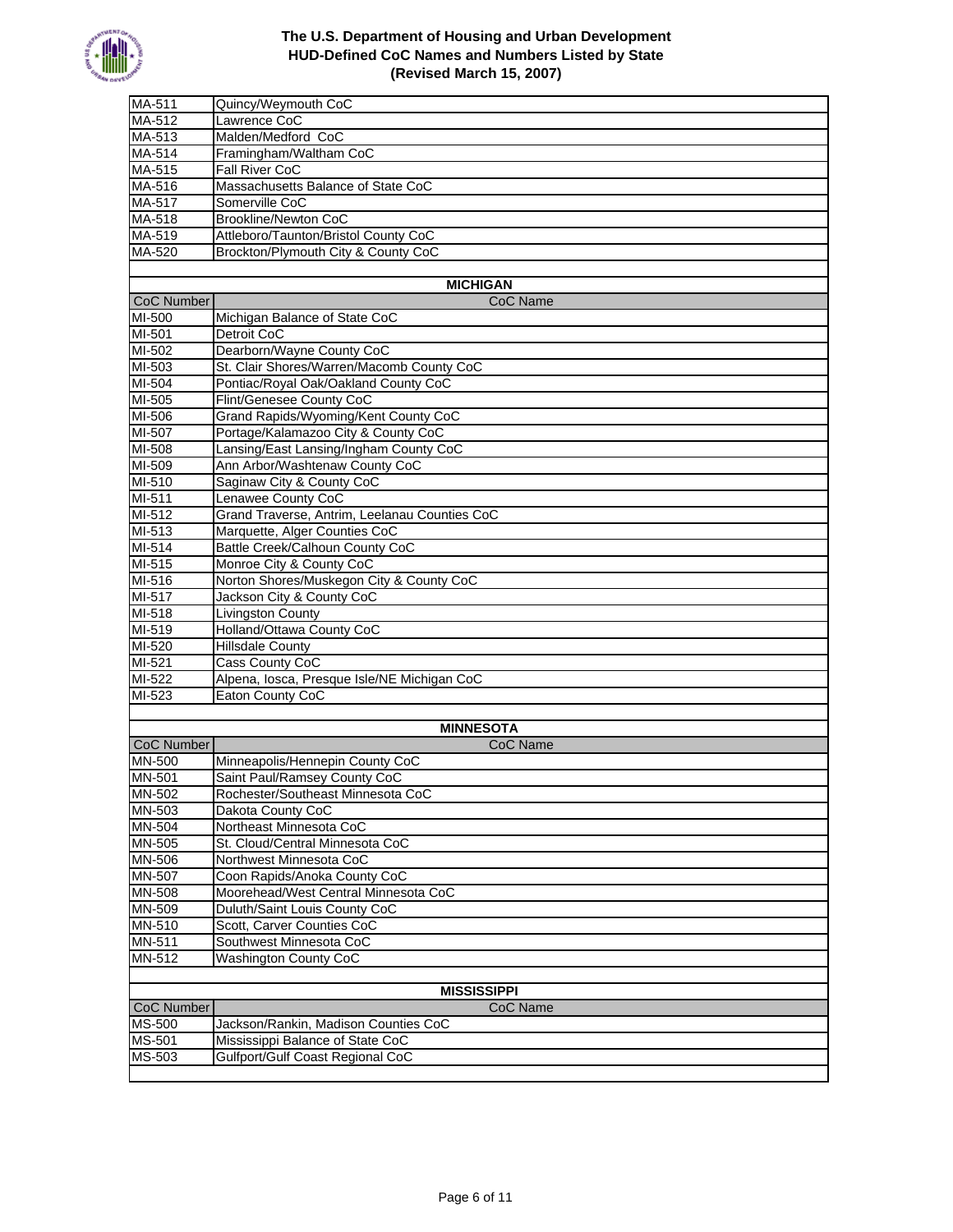

| $MA-511$                   | Quincy/Weymouth CoC                           |
|----------------------------|-----------------------------------------------|
| MA-512                     | Lawrence CoC                                  |
| MA-513                     | Malden/Medford CoC                            |
| MA-514                     | Framingham/Waltham CoC                        |
| MA-515                     | <b>Fall River CoC</b>                         |
| MA-516                     | Massachusetts Balance of State CoC            |
| MA-517                     | Somerville CoC                                |
| MA-518                     | Brookline/Newton CoC                          |
| MA-519                     | Attleboro/Taunton/Bristol County CoC          |
| MA-520                     | Brockton/Plymouth City & County CoC           |
|                            |                                               |
|                            | <b>MICHIGAN</b>                               |
| CoC Number                 | CoC Name                                      |
| $MI-500$                   | Michigan Balance of State CoC                 |
| MI-501                     | Detroit CoC                                   |
| MI-502                     | Dearborn/Wayne County CoC                     |
| MI-503                     | St. Clair Shores/Warren/Macomb County CoC     |
| MI-504                     | Pontiac/Royal Oak/Oakland County CoC          |
| MI-505                     | Flint/Genesee County CoC                      |
| MI-506                     | Grand Rapids/Wyoming/Kent County CoC          |
| MI-507                     | Portage/Kalamazoo City & County CoC           |
| MI-508                     | Lansing/East Lansing/Ingham County CoC        |
| MI-509                     | Ann Arbor/Washtenaw County CoC                |
| MI-510                     | Saginaw City & County CoC                     |
| MI-511                     | Lenawee County CoC                            |
| MI-512                     | Grand Traverse, Antrim, Leelanau Counties CoC |
| MI-513                     | Marquette, Alger Counties CoC                 |
| MI-514                     | Battle Creek/Calhoun County CoC               |
| MI-515                     | Monroe City & County CoC                      |
| MI-516                     | Norton Shores/Muskegon City & County CoC      |
| MI-517                     | Jackson City & County CoC                     |
| MI-518                     | <b>Livingston County</b>                      |
| MI-519                     | Holland/Ottawa County CoC                     |
| MI-520                     | <b>Hillsdale County</b>                       |
| MI-521                     | Cass County CoC                               |
| MI-522                     | Alpena, losca, Presque Isle/NE Michigan CoC   |
| MI-523                     | Eaton County CoC                              |
|                            |                                               |
|                            | <b>MINNESOTA</b>                              |
| <b>CoC Number</b>          | CoC Name                                      |
| <b>MN-500</b>              | Minneapolis/Hennepin County CoC               |
| MN-501                     | Saint Paul/Ramsey County CoC                  |
| MN-502                     | Rochester/Southeast Minnesota CoC             |
| MN-503                     | Dakota County CoC                             |
| $MN-504$                   | Northeast Minnesota CoC                       |
| MN-505                     | St. Cloud/Central Minnesota CoC               |
| MN-506                     | Northwest Minnesota CoC                       |
| MN-507                     | Coon Rapids/Anoka County CoC                  |
| <b>MN-508</b>              | Moorehead/West Central Minnesota CoC          |
| MN-509                     | Duluth/Saint Louis County CoC                 |
| MN-510                     | Scott, Carver Counties CoC                    |
| MN-511                     | Southwest Minnesota CoC                       |
| MN-512                     | <b>Washington County CoC</b>                  |
|                            |                                               |
| <b>MISSISSIPPI</b>         |                                               |
| <b>CoC Number</b>          | <b>CoC Name</b>                               |
| MS-500                     | Jackson/Rankin, Madison Counties CoC          |
| $\overline{\text{MS-}501}$ | Mississippi Balance of State CoC              |
| MS-503                     | Gulfport/Gulf Coast Regional CoC              |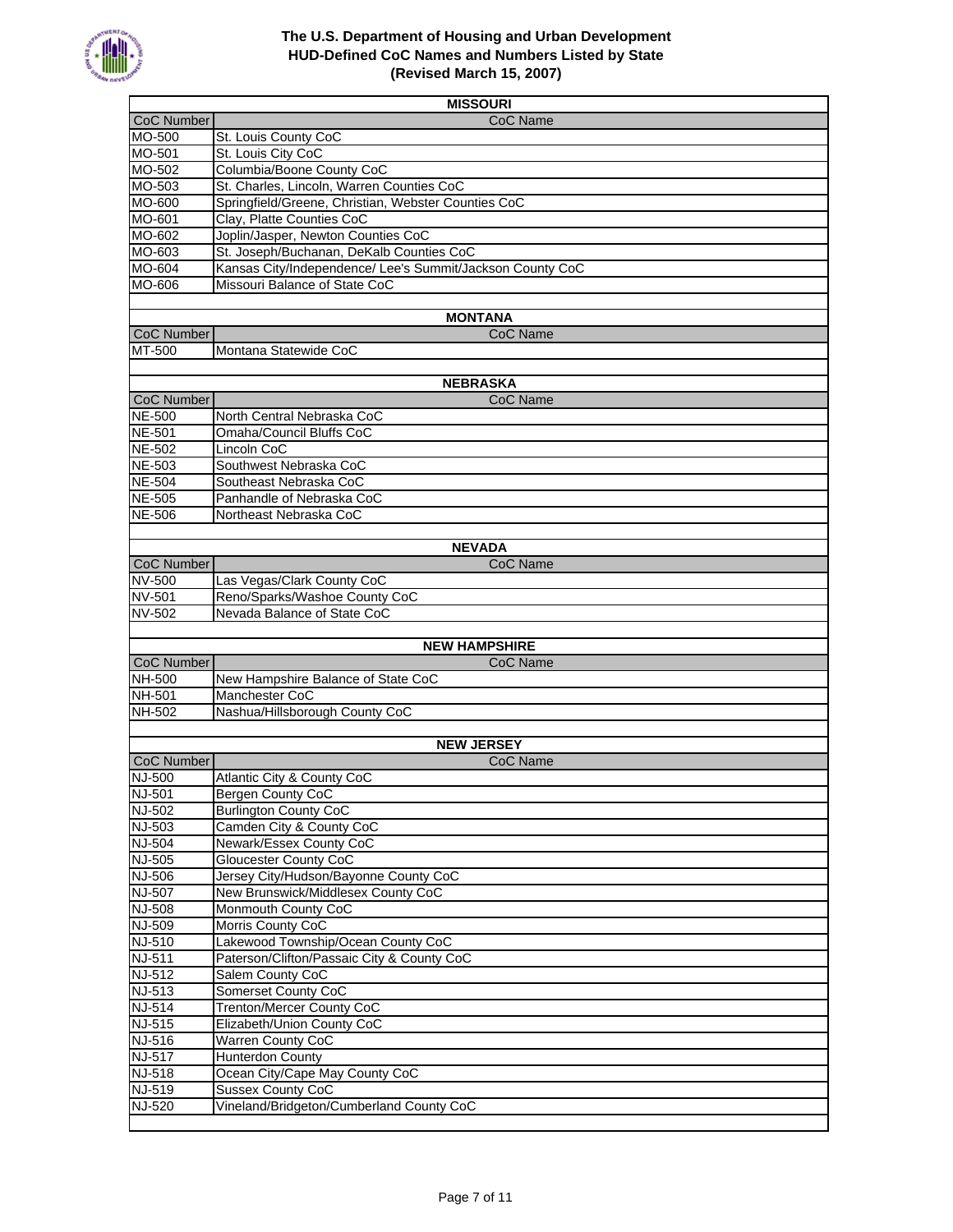

|                                | <b>MISSOURI</b>                                           |  |
|--------------------------------|-----------------------------------------------------------|--|
| <b>CoC Number</b>              | CoC Name                                                  |  |
| MO-500                         | St. Louis County CoC                                      |  |
| MO-501                         | St. Louis City CoC                                        |  |
| MO-502                         | Columbia/Boone County CoC                                 |  |
| MO-503                         | St. Charles, Lincoln, Warren Counties CoC                 |  |
| MO-600                         | Springfield/Greene, Christian, Webster Counties CoC       |  |
| MO-601                         | Clay, Platte Counties CoC                                 |  |
| MO-602                         | Joplin/Jasper, Newton Counties CoC                        |  |
| MO-603                         | St. Joseph/Buchanan, DeKalb Counties CoC                  |  |
| MO-604                         | Kansas City/Independence/ Lee's Summit/Jackson County CoC |  |
| MO-606                         | Missouri Balance of State CoC                             |  |
|                                |                                                           |  |
|                                | <b>MONTANA</b>                                            |  |
| <b>CoC Number</b>              | CoC Name                                                  |  |
| MT-500                         | Montana Statewide CoC                                     |  |
|                                |                                                           |  |
|                                | <b>NEBRASKA</b>                                           |  |
| CoC Number                     | CoC Name                                                  |  |
| <b>NE-500</b>                  | North Central Nebraska CoC                                |  |
| <b>NE-501</b>                  | Omaha/Council Bluffs CoC                                  |  |
| <b>NE-502</b>                  | Lincoln CoC                                               |  |
| <b>NE-503</b>                  | Southwest Nebraska CoC                                    |  |
| <b>NE-504</b>                  | Southeast Nebraska CoC                                    |  |
| <b>NE-505</b>                  | Panhandle of Nebraska CoC                                 |  |
| <b>NE-506</b>                  | Northeast Nebraska CoC                                    |  |
|                                |                                                           |  |
|                                | <b>NEVADA</b>                                             |  |
| <b>CoC Number</b>              | CoC Name                                                  |  |
| <b>NV-500</b>                  | Las Vegas/Clark County CoC                                |  |
| <b>NV-501</b>                  | Reno/Sparks/Washoe County CoC                             |  |
| NV-502                         | Nevada Balance of State CoC                               |  |
|                                |                                                           |  |
|                                | <b>NEW HAMPSHIRE</b>                                      |  |
| <b>CoC Number</b>              | CoC Name                                                  |  |
| <b>NH-500</b>                  | New Hampshire Balance of State CoC                        |  |
| NH-501                         | Manchester CoC                                            |  |
| NH-502                         | Nashua/Hillsborough County CoC                            |  |
|                                |                                                           |  |
|                                | <b>NEW JERSEY</b>                                         |  |
| <b>CoC Number</b>              | CoC Name                                                  |  |
| NJ-500                         | Atlantic City & County CoC                                |  |
| <b>NJ-501</b>                  | Bergen County CoC<br><b>Burlington County CoC</b>         |  |
| <b>NJ-502</b><br><b>NJ-503</b> | Camden City & County CoC                                  |  |
| <b>NJ-504</b>                  | Newark/Essex County CoC                                   |  |
|                                | <b>Gloucester County CoC</b>                              |  |
| <b>NJ-505</b><br><b>NJ-506</b> | Jersey City/Hudson/Bayonne County CoC                     |  |
| <b>NJ-507</b>                  | New Brunswick/Middlesex County CoC                        |  |
| <b>NJ-508</b>                  | Monmouth County CoC                                       |  |
| NJ-509                         | Morris County CoC                                         |  |
| <b>NJ-510</b>                  | Lakewood Township/Ocean County CoC                        |  |
| <b>NJ-511</b>                  | Paterson/Clifton/Passaic City & County CoC                |  |
| <b>NJ-512</b>                  | Salem County CoC                                          |  |
| NJ-513                         | Somerset County CoC                                       |  |
| <b>NJ-514</b>                  | <b>Trenton/Mercer County CoC</b>                          |  |
| <b>NJ-515</b>                  | Elizabeth/Union County CoC                                |  |
| <b>NJ-516</b>                  | <b>Warren County CoC</b>                                  |  |
| <b>NJ-517</b>                  | <b>Hunterdon County</b>                                   |  |
| NJ-518                         | Ocean City/Cape May County CoC                            |  |
| NJ-519                         | <b>Sussex County CoC</b>                                  |  |
| <b>NJ-520</b>                  | Vineland/Bridgeton/Cumberland County CoC                  |  |
|                                |                                                           |  |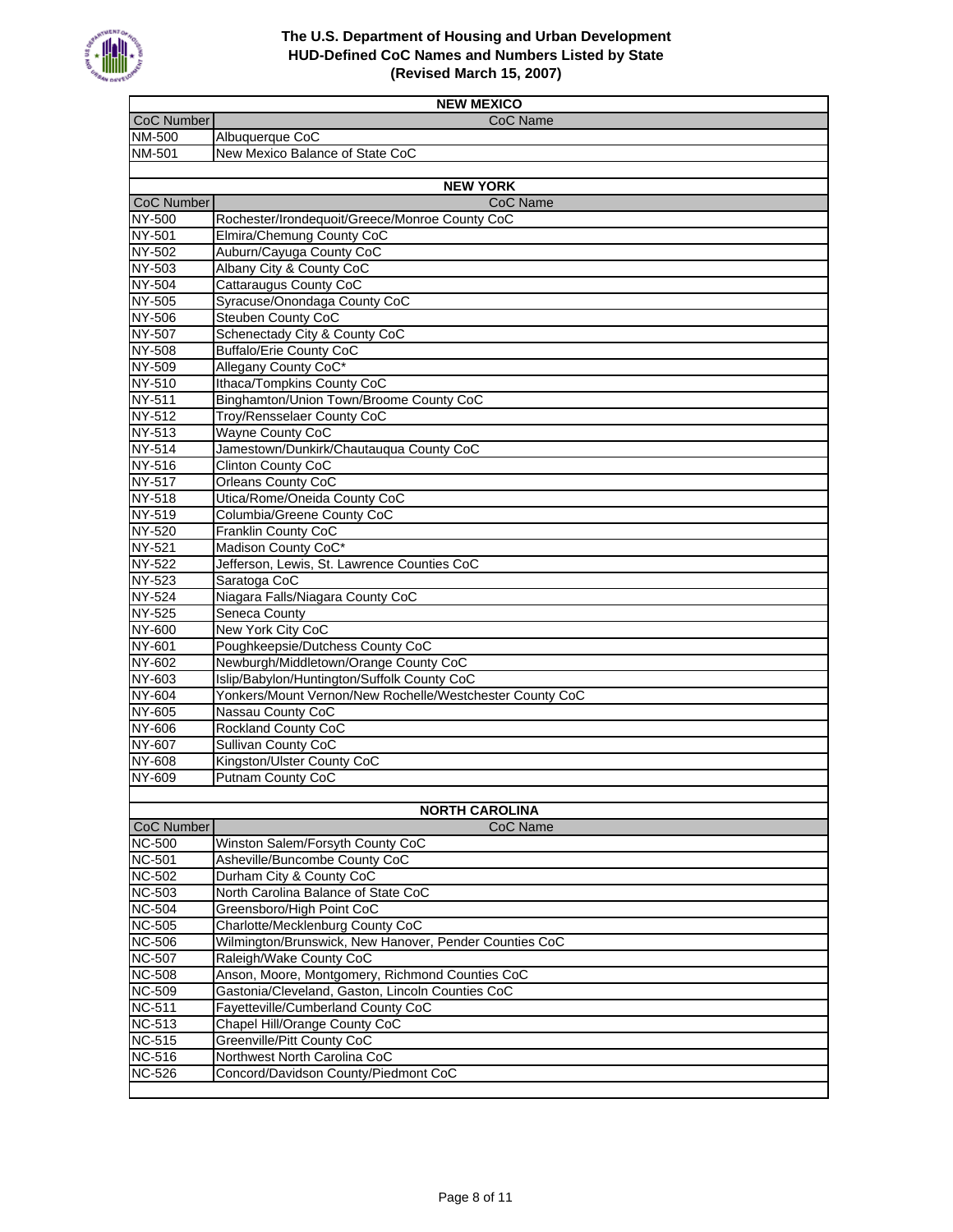

| <b>CoC Number</b><br>CoC Name<br>NM-500<br>Albuquerque CoC<br>NM-501<br>New Mexico Balance of State CoC<br><b>NEW YORK</b><br><b>CoC Number</b><br>CoC Name<br><b>NY-500</b><br>Rochester/Irondequoit/Greece/Monroe County CoC<br>Elmira/Chemung County CoC<br>NY-501<br>Auburn/Cayuga County CoC<br>NY-502<br>NY-503<br>Albany City & County CoC<br>NY-504<br>Cattaraugus County CoC<br>Syracuse/Onondaga County CoC<br><b>NY-505</b><br>Steuben County CoC<br>NY-506<br>Schenectady City & County CoC<br><b>NY-507</b><br>NY-508<br><b>Buffalo/Erie County CoC</b><br>NY-509<br>Allegany County CoC*<br>Ithaca/Tompkins County CoC<br><b>NY-510</b><br>NY-511<br>Binghamton/Union Town/Broome County CoC<br>NY-512<br><b>Troy/Rensselaer County CoC</b><br>NY-513<br><b>Wayne County CoC</b><br><b>NY-514</b><br>Jamestown/Dunkirk/Chautauqua County CoC<br>NY-516<br><b>Clinton County CoC</b><br><b>NY-517</b><br><b>Orleans County CoC</b><br>Utica/Rome/Oneida County CoC<br>NY-518<br>NY-519<br>Columbia/Greene County CoC<br><b>Franklin County CoC</b><br>NY-520<br>Madison County CoC*<br><b>NY-521</b><br>Jefferson, Lewis, St. Lawrence Counties CoC<br><b>NY-522</b><br>NY-523<br>Saratoga CoC<br>Niagara Falls/Niagara County CoC<br>NY-524<br>NY-525<br>Seneca County<br>New York City CoC<br>NY-600<br>Poughkeepsie/Dutchess County CoC<br>NY-601<br>Newburgh/Middletown/Orange County CoC<br>NY-602<br>Islip/Babylon/Huntington/Suffolk County CoC<br>NY-603<br><b>NY-604</b><br>Yonkers/Mount Vernon/New Rochelle/Westchester County CoC<br>NY-605<br>Nassau County CoC<br><b>Rockland County CoC</b><br>NY-606<br>NY-607<br><b>Sullivan County CoC</b><br>NY-608<br>Kingston/Ulster County CoC<br><b>NY-609</b><br><b>Putnam County CoC</b><br><b>NORTH CAROLINA</b><br><b>CoC Number</b><br>CoC Name<br>Winston Salem/Forsyth County CoC<br><b>NC-500</b><br><b>NC-501</b><br>Asheville/Buncombe County CoC<br>Durham City & County CoC<br><b>NC-502</b><br>North Carolina Balance of State CoC<br><b>NC-503</b><br><b>NC-504</b><br>Greensboro/High Point CoC<br><b>NC-505</b><br>Charlotte/Mecklenburg County CoC<br>Wilmington/Brunswick, New Hanover, Pender Counties CoC<br><b>NC-506</b><br>Raleigh/Wake County CoC<br><b>NC-507</b><br>Anson, Moore, Montgomery, Richmond Counties CoC<br><b>NC-508</b><br><b>NC-509</b><br>Gastonia/Cleveland, Gaston, Lincoln Counties CoC<br>Fayetteville/Cumberland County CoC<br><b>NC-511</b><br>Chapel Hill/Orange County CoC<br><b>NC-513</b><br><b>NC-515</b><br>Greenville/Pitt County CoC<br><b>NC-516</b><br>Northwest North Carolina CoC<br>Concord/Davidson County/Piedmont CoC<br><b>NC-526</b> | <b>NEW MEXICO</b> |  |
|---------------------------------------------------------------------------------------------------------------------------------------------------------------------------------------------------------------------------------------------------------------------------------------------------------------------------------------------------------------------------------------------------------------------------------------------------------------------------------------------------------------------------------------------------------------------------------------------------------------------------------------------------------------------------------------------------------------------------------------------------------------------------------------------------------------------------------------------------------------------------------------------------------------------------------------------------------------------------------------------------------------------------------------------------------------------------------------------------------------------------------------------------------------------------------------------------------------------------------------------------------------------------------------------------------------------------------------------------------------------------------------------------------------------------------------------------------------------------------------------------------------------------------------------------------------------------------------------------------------------------------------------------------------------------------------------------------------------------------------------------------------------------------------------------------------------------------------------------------------------------------------------------------------------------------------------------------------------------------------------------------------------------------------------------------------------------------------------------------------------------------------------------------------------------------------------------------------------------------------------------------------------------------------------------------------------------------------------------------------------------------------------------------------------------------------------------------------------------------------------------------------------------------------------------------------------------------------------------------------------------------------------------------------------------|-------------------|--|
|                                                                                                                                                                                                                                                                                                                                                                                                                                                                                                                                                                                                                                                                                                                                                                                                                                                                                                                                                                                                                                                                                                                                                                                                                                                                                                                                                                                                                                                                                                                                                                                                                                                                                                                                                                                                                                                                                                                                                                                                                                                                                                                                                                                                                                                                                                                                                                                                                                                                                                                                                                                                                                                                           |                   |  |
|                                                                                                                                                                                                                                                                                                                                                                                                                                                                                                                                                                                                                                                                                                                                                                                                                                                                                                                                                                                                                                                                                                                                                                                                                                                                                                                                                                                                                                                                                                                                                                                                                                                                                                                                                                                                                                                                                                                                                                                                                                                                                                                                                                                                                                                                                                                                                                                                                                                                                                                                                                                                                                                                           |                   |  |
|                                                                                                                                                                                                                                                                                                                                                                                                                                                                                                                                                                                                                                                                                                                                                                                                                                                                                                                                                                                                                                                                                                                                                                                                                                                                                                                                                                                                                                                                                                                                                                                                                                                                                                                                                                                                                                                                                                                                                                                                                                                                                                                                                                                                                                                                                                                                                                                                                                                                                                                                                                                                                                                                           |                   |  |
|                                                                                                                                                                                                                                                                                                                                                                                                                                                                                                                                                                                                                                                                                                                                                                                                                                                                                                                                                                                                                                                                                                                                                                                                                                                                                                                                                                                                                                                                                                                                                                                                                                                                                                                                                                                                                                                                                                                                                                                                                                                                                                                                                                                                                                                                                                                                                                                                                                                                                                                                                                                                                                                                           |                   |  |
|                                                                                                                                                                                                                                                                                                                                                                                                                                                                                                                                                                                                                                                                                                                                                                                                                                                                                                                                                                                                                                                                                                                                                                                                                                                                                                                                                                                                                                                                                                                                                                                                                                                                                                                                                                                                                                                                                                                                                                                                                                                                                                                                                                                                                                                                                                                                                                                                                                                                                                                                                                                                                                                                           |                   |  |
|                                                                                                                                                                                                                                                                                                                                                                                                                                                                                                                                                                                                                                                                                                                                                                                                                                                                                                                                                                                                                                                                                                                                                                                                                                                                                                                                                                                                                                                                                                                                                                                                                                                                                                                                                                                                                                                                                                                                                                                                                                                                                                                                                                                                                                                                                                                                                                                                                                                                                                                                                                                                                                                                           |                   |  |
|                                                                                                                                                                                                                                                                                                                                                                                                                                                                                                                                                                                                                                                                                                                                                                                                                                                                                                                                                                                                                                                                                                                                                                                                                                                                                                                                                                                                                                                                                                                                                                                                                                                                                                                                                                                                                                                                                                                                                                                                                                                                                                                                                                                                                                                                                                                                                                                                                                                                                                                                                                                                                                                                           |                   |  |
|                                                                                                                                                                                                                                                                                                                                                                                                                                                                                                                                                                                                                                                                                                                                                                                                                                                                                                                                                                                                                                                                                                                                                                                                                                                                                                                                                                                                                                                                                                                                                                                                                                                                                                                                                                                                                                                                                                                                                                                                                                                                                                                                                                                                                                                                                                                                                                                                                                                                                                                                                                                                                                                                           |                   |  |
|                                                                                                                                                                                                                                                                                                                                                                                                                                                                                                                                                                                                                                                                                                                                                                                                                                                                                                                                                                                                                                                                                                                                                                                                                                                                                                                                                                                                                                                                                                                                                                                                                                                                                                                                                                                                                                                                                                                                                                                                                                                                                                                                                                                                                                                                                                                                                                                                                                                                                                                                                                                                                                                                           |                   |  |
|                                                                                                                                                                                                                                                                                                                                                                                                                                                                                                                                                                                                                                                                                                                                                                                                                                                                                                                                                                                                                                                                                                                                                                                                                                                                                                                                                                                                                                                                                                                                                                                                                                                                                                                                                                                                                                                                                                                                                                                                                                                                                                                                                                                                                                                                                                                                                                                                                                                                                                                                                                                                                                                                           |                   |  |
|                                                                                                                                                                                                                                                                                                                                                                                                                                                                                                                                                                                                                                                                                                                                                                                                                                                                                                                                                                                                                                                                                                                                                                                                                                                                                                                                                                                                                                                                                                                                                                                                                                                                                                                                                                                                                                                                                                                                                                                                                                                                                                                                                                                                                                                                                                                                                                                                                                                                                                                                                                                                                                                                           |                   |  |
|                                                                                                                                                                                                                                                                                                                                                                                                                                                                                                                                                                                                                                                                                                                                                                                                                                                                                                                                                                                                                                                                                                                                                                                                                                                                                                                                                                                                                                                                                                                                                                                                                                                                                                                                                                                                                                                                                                                                                                                                                                                                                                                                                                                                                                                                                                                                                                                                                                                                                                                                                                                                                                                                           |                   |  |
|                                                                                                                                                                                                                                                                                                                                                                                                                                                                                                                                                                                                                                                                                                                                                                                                                                                                                                                                                                                                                                                                                                                                                                                                                                                                                                                                                                                                                                                                                                                                                                                                                                                                                                                                                                                                                                                                                                                                                                                                                                                                                                                                                                                                                                                                                                                                                                                                                                                                                                                                                                                                                                                                           |                   |  |
|                                                                                                                                                                                                                                                                                                                                                                                                                                                                                                                                                                                                                                                                                                                                                                                                                                                                                                                                                                                                                                                                                                                                                                                                                                                                                                                                                                                                                                                                                                                                                                                                                                                                                                                                                                                                                                                                                                                                                                                                                                                                                                                                                                                                                                                                                                                                                                                                                                                                                                                                                                                                                                                                           |                   |  |
|                                                                                                                                                                                                                                                                                                                                                                                                                                                                                                                                                                                                                                                                                                                                                                                                                                                                                                                                                                                                                                                                                                                                                                                                                                                                                                                                                                                                                                                                                                                                                                                                                                                                                                                                                                                                                                                                                                                                                                                                                                                                                                                                                                                                                                                                                                                                                                                                                                                                                                                                                                                                                                                                           |                   |  |
|                                                                                                                                                                                                                                                                                                                                                                                                                                                                                                                                                                                                                                                                                                                                                                                                                                                                                                                                                                                                                                                                                                                                                                                                                                                                                                                                                                                                                                                                                                                                                                                                                                                                                                                                                                                                                                                                                                                                                                                                                                                                                                                                                                                                                                                                                                                                                                                                                                                                                                                                                                                                                                                                           |                   |  |
|                                                                                                                                                                                                                                                                                                                                                                                                                                                                                                                                                                                                                                                                                                                                                                                                                                                                                                                                                                                                                                                                                                                                                                                                                                                                                                                                                                                                                                                                                                                                                                                                                                                                                                                                                                                                                                                                                                                                                                                                                                                                                                                                                                                                                                                                                                                                                                                                                                                                                                                                                                                                                                                                           |                   |  |
|                                                                                                                                                                                                                                                                                                                                                                                                                                                                                                                                                                                                                                                                                                                                                                                                                                                                                                                                                                                                                                                                                                                                                                                                                                                                                                                                                                                                                                                                                                                                                                                                                                                                                                                                                                                                                                                                                                                                                                                                                                                                                                                                                                                                                                                                                                                                                                                                                                                                                                                                                                                                                                                                           |                   |  |
|                                                                                                                                                                                                                                                                                                                                                                                                                                                                                                                                                                                                                                                                                                                                                                                                                                                                                                                                                                                                                                                                                                                                                                                                                                                                                                                                                                                                                                                                                                                                                                                                                                                                                                                                                                                                                                                                                                                                                                                                                                                                                                                                                                                                                                                                                                                                                                                                                                                                                                                                                                                                                                                                           |                   |  |
|                                                                                                                                                                                                                                                                                                                                                                                                                                                                                                                                                                                                                                                                                                                                                                                                                                                                                                                                                                                                                                                                                                                                                                                                                                                                                                                                                                                                                                                                                                                                                                                                                                                                                                                                                                                                                                                                                                                                                                                                                                                                                                                                                                                                                                                                                                                                                                                                                                                                                                                                                                                                                                                                           |                   |  |
|                                                                                                                                                                                                                                                                                                                                                                                                                                                                                                                                                                                                                                                                                                                                                                                                                                                                                                                                                                                                                                                                                                                                                                                                                                                                                                                                                                                                                                                                                                                                                                                                                                                                                                                                                                                                                                                                                                                                                                                                                                                                                                                                                                                                                                                                                                                                                                                                                                                                                                                                                                                                                                                                           |                   |  |
|                                                                                                                                                                                                                                                                                                                                                                                                                                                                                                                                                                                                                                                                                                                                                                                                                                                                                                                                                                                                                                                                                                                                                                                                                                                                                                                                                                                                                                                                                                                                                                                                                                                                                                                                                                                                                                                                                                                                                                                                                                                                                                                                                                                                                                                                                                                                                                                                                                                                                                                                                                                                                                                                           |                   |  |
|                                                                                                                                                                                                                                                                                                                                                                                                                                                                                                                                                                                                                                                                                                                                                                                                                                                                                                                                                                                                                                                                                                                                                                                                                                                                                                                                                                                                                                                                                                                                                                                                                                                                                                                                                                                                                                                                                                                                                                                                                                                                                                                                                                                                                                                                                                                                                                                                                                                                                                                                                                                                                                                                           |                   |  |
|                                                                                                                                                                                                                                                                                                                                                                                                                                                                                                                                                                                                                                                                                                                                                                                                                                                                                                                                                                                                                                                                                                                                                                                                                                                                                                                                                                                                                                                                                                                                                                                                                                                                                                                                                                                                                                                                                                                                                                                                                                                                                                                                                                                                                                                                                                                                                                                                                                                                                                                                                                                                                                                                           |                   |  |
|                                                                                                                                                                                                                                                                                                                                                                                                                                                                                                                                                                                                                                                                                                                                                                                                                                                                                                                                                                                                                                                                                                                                                                                                                                                                                                                                                                                                                                                                                                                                                                                                                                                                                                                                                                                                                                                                                                                                                                                                                                                                                                                                                                                                                                                                                                                                                                                                                                                                                                                                                                                                                                                                           |                   |  |
|                                                                                                                                                                                                                                                                                                                                                                                                                                                                                                                                                                                                                                                                                                                                                                                                                                                                                                                                                                                                                                                                                                                                                                                                                                                                                                                                                                                                                                                                                                                                                                                                                                                                                                                                                                                                                                                                                                                                                                                                                                                                                                                                                                                                                                                                                                                                                                                                                                                                                                                                                                                                                                                                           |                   |  |
|                                                                                                                                                                                                                                                                                                                                                                                                                                                                                                                                                                                                                                                                                                                                                                                                                                                                                                                                                                                                                                                                                                                                                                                                                                                                                                                                                                                                                                                                                                                                                                                                                                                                                                                                                                                                                                                                                                                                                                                                                                                                                                                                                                                                                                                                                                                                                                                                                                                                                                                                                                                                                                                                           |                   |  |
|                                                                                                                                                                                                                                                                                                                                                                                                                                                                                                                                                                                                                                                                                                                                                                                                                                                                                                                                                                                                                                                                                                                                                                                                                                                                                                                                                                                                                                                                                                                                                                                                                                                                                                                                                                                                                                                                                                                                                                                                                                                                                                                                                                                                                                                                                                                                                                                                                                                                                                                                                                                                                                                                           |                   |  |
|                                                                                                                                                                                                                                                                                                                                                                                                                                                                                                                                                                                                                                                                                                                                                                                                                                                                                                                                                                                                                                                                                                                                                                                                                                                                                                                                                                                                                                                                                                                                                                                                                                                                                                                                                                                                                                                                                                                                                                                                                                                                                                                                                                                                                                                                                                                                                                                                                                                                                                                                                                                                                                                                           |                   |  |
|                                                                                                                                                                                                                                                                                                                                                                                                                                                                                                                                                                                                                                                                                                                                                                                                                                                                                                                                                                                                                                                                                                                                                                                                                                                                                                                                                                                                                                                                                                                                                                                                                                                                                                                                                                                                                                                                                                                                                                                                                                                                                                                                                                                                                                                                                                                                                                                                                                                                                                                                                                                                                                                                           |                   |  |
|                                                                                                                                                                                                                                                                                                                                                                                                                                                                                                                                                                                                                                                                                                                                                                                                                                                                                                                                                                                                                                                                                                                                                                                                                                                                                                                                                                                                                                                                                                                                                                                                                                                                                                                                                                                                                                                                                                                                                                                                                                                                                                                                                                                                                                                                                                                                                                                                                                                                                                                                                                                                                                                                           |                   |  |
|                                                                                                                                                                                                                                                                                                                                                                                                                                                                                                                                                                                                                                                                                                                                                                                                                                                                                                                                                                                                                                                                                                                                                                                                                                                                                                                                                                                                                                                                                                                                                                                                                                                                                                                                                                                                                                                                                                                                                                                                                                                                                                                                                                                                                                                                                                                                                                                                                                                                                                                                                                                                                                                                           |                   |  |
|                                                                                                                                                                                                                                                                                                                                                                                                                                                                                                                                                                                                                                                                                                                                                                                                                                                                                                                                                                                                                                                                                                                                                                                                                                                                                                                                                                                                                                                                                                                                                                                                                                                                                                                                                                                                                                                                                                                                                                                                                                                                                                                                                                                                                                                                                                                                                                                                                                                                                                                                                                                                                                                                           |                   |  |
|                                                                                                                                                                                                                                                                                                                                                                                                                                                                                                                                                                                                                                                                                                                                                                                                                                                                                                                                                                                                                                                                                                                                                                                                                                                                                                                                                                                                                                                                                                                                                                                                                                                                                                                                                                                                                                                                                                                                                                                                                                                                                                                                                                                                                                                                                                                                                                                                                                                                                                                                                                                                                                                                           |                   |  |
|                                                                                                                                                                                                                                                                                                                                                                                                                                                                                                                                                                                                                                                                                                                                                                                                                                                                                                                                                                                                                                                                                                                                                                                                                                                                                                                                                                                                                                                                                                                                                                                                                                                                                                                                                                                                                                                                                                                                                                                                                                                                                                                                                                                                                                                                                                                                                                                                                                                                                                                                                                                                                                                                           |                   |  |
|                                                                                                                                                                                                                                                                                                                                                                                                                                                                                                                                                                                                                                                                                                                                                                                                                                                                                                                                                                                                                                                                                                                                                                                                                                                                                                                                                                                                                                                                                                                                                                                                                                                                                                                                                                                                                                                                                                                                                                                                                                                                                                                                                                                                                                                                                                                                                                                                                                                                                                                                                                                                                                                                           |                   |  |
|                                                                                                                                                                                                                                                                                                                                                                                                                                                                                                                                                                                                                                                                                                                                                                                                                                                                                                                                                                                                                                                                                                                                                                                                                                                                                                                                                                                                                                                                                                                                                                                                                                                                                                                                                                                                                                                                                                                                                                                                                                                                                                                                                                                                                                                                                                                                                                                                                                                                                                                                                                                                                                                                           |                   |  |
|                                                                                                                                                                                                                                                                                                                                                                                                                                                                                                                                                                                                                                                                                                                                                                                                                                                                                                                                                                                                                                                                                                                                                                                                                                                                                                                                                                                                                                                                                                                                                                                                                                                                                                                                                                                                                                                                                                                                                                                                                                                                                                                                                                                                                                                                                                                                                                                                                                                                                                                                                                                                                                                                           |                   |  |
|                                                                                                                                                                                                                                                                                                                                                                                                                                                                                                                                                                                                                                                                                                                                                                                                                                                                                                                                                                                                                                                                                                                                                                                                                                                                                                                                                                                                                                                                                                                                                                                                                                                                                                                                                                                                                                                                                                                                                                                                                                                                                                                                                                                                                                                                                                                                                                                                                                                                                                                                                                                                                                                                           |                   |  |
|                                                                                                                                                                                                                                                                                                                                                                                                                                                                                                                                                                                                                                                                                                                                                                                                                                                                                                                                                                                                                                                                                                                                                                                                                                                                                                                                                                                                                                                                                                                                                                                                                                                                                                                                                                                                                                                                                                                                                                                                                                                                                                                                                                                                                                                                                                                                                                                                                                                                                                                                                                                                                                                                           |                   |  |
|                                                                                                                                                                                                                                                                                                                                                                                                                                                                                                                                                                                                                                                                                                                                                                                                                                                                                                                                                                                                                                                                                                                                                                                                                                                                                                                                                                                                                                                                                                                                                                                                                                                                                                                                                                                                                                                                                                                                                                                                                                                                                                                                                                                                                                                                                                                                                                                                                                                                                                                                                                                                                                                                           |                   |  |
|                                                                                                                                                                                                                                                                                                                                                                                                                                                                                                                                                                                                                                                                                                                                                                                                                                                                                                                                                                                                                                                                                                                                                                                                                                                                                                                                                                                                                                                                                                                                                                                                                                                                                                                                                                                                                                                                                                                                                                                                                                                                                                                                                                                                                                                                                                                                                                                                                                                                                                                                                                                                                                                                           |                   |  |
|                                                                                                                                                                                                                                                                                                                                                                                                                                                                                                                                                                                                                                                                                                                                                                                                                                                                                                                                                                                                                                                                                                                                                                                                                                                                                                                                                                                                                                                                                                                                                                                                                                                                                                                                                                                                                                                                                                                                                                                                                                                                                                                                                                                                                                                                                                                                                                                                                                                                                                                                                                                                                                                                           |                   |  |
|                                                                                                                                                                                                                                                                                                                                                                                                                                                                                                                                                                                                                                                                                                                                                                                                                                                                                                                                                                                                                                                                                                                                                                                                                                                                                                                                                                                                                                                                                                                                                                                                                                                                                                                                                                                                                                                                                                                                                                                                                                                                                                                                                                                                                                                                                                                                                                                                                                                                                                                                                                                                                                                                           |                   |  |
|                                                                                                                                                                                                                                                                                                                                                                                                                                                                                                                                                                                                                                                                                                                                                                                                                                                                                                                                                                                                                                                                                                                                                                                                                                                                                                                                                                                                                                                                                                                                                                                                                                                                                                                                                                                                                                                                                                                                                                                                                                                                                                                                                                                                                                                                                                                                                                                                                                                                                                                                                                                                                                                                           |                   |  |
|                                                                                                                                                                                                                                                                                                                                                                                                                                                                                                                                                                                                                                                                                                                                                                                                                                                                                                                                                                                                                                                                                                                                                                                                                                                                                                                                                                                                                                                                                                                                                                                                                                                                                                                                                                                                                                                                                                                                                                                                                                                                                                                                                                                                                                                                                                                                                                                                                                                                                                                                                                                                                                                                           |                   |  |
|                                                                                                                                                                                                                                                                                                                                                                                                                                                                                                                                                                                                                                                                                                                                                                                                                                                                                                                                                                                                                                                                                                                                                                                                                                                                                                                                                                                                                                                                                                                                                                                                                                                                                                                                                                                                                                                                                                                                                                                                                                                                                                                                                                                                                                                                                                                                                                                                                                                                                                                                                                                                                                                                           |                   |  |
|                                                                                                                                                                                                                                                                                                                                                                                                                                                                                                                                                                                                                                                                                                                                                                                                                                                                                                                                                                                                                                                                                                                                                                                                                                                                                                                                                                                                                                                                                                                                                                                                                                                                                                                                                                                                                                                                                                                                                                                                                                                                                                                                                                                                                                                                                                                                                                                                                                                                                                                                                                                                                                                                           |                   |  |
|                                                                                                                                                                                                                                                                                                                                                                                                                                                                                                                                                                                                                                                                                                                                                                                                                                                                                                                                                                                                                                                                                                                                                                                                                                                                                                                                                                                                                                                                                                                                                                                                                                                                                                                                                                                                                                                                                                                                                                                                                                                                                                                                                                                                                                                                                                                                                                                                                                                                                                                                                                                                                                                                           |                   |  |
|                                                                                                                                                                                                                                                                                                                                                                                                                                                                                                                                                                                                                                                                                                                                                                                                                                                                                                                                                                                                                                                                                                                                                                                                                                                                                                                                                                                                                                                                                                                                                                                                                                                                                                                                                                                                                                                                                                                                                                                                                                                                                                                                                                                                                                                                                                                                                                                                                                                                                                                                                                                                                                                                           |                   |  |
|                                                                                                                                                                                                                                                                                                                                                                                                                                                                                                                                                                                                                                                                                                                                                                                                                                                                                                                                                                                                                                                                                                                                                                                                                                                                                                                                                                                                                                                                                                                                                                                                                                                                                                                                                                                                                                                                                                                                                                                                                                                                                                                                                                                                                                                                                                                                                                                                                                                                                                                                                                                                                                                                           |                   |  |
|                                                                                                                                                                                                                                                                                                                                                                                                                                                                                                                                                                                                                                                                                                                                                                                                                                                                                                                                                                                                                                                                                                                                                                                                                                                                                                                                                                                                                                                                                                                                                                                                                                                                                                                                                                                                                                                                                                                                                                                                                                                                                                                                                                                                                                                                                                                                                                                                                                                                                                                                                                                                                                                                           |                   |  |
|                                                                                                                                                                                                                                                                                                                                                                                                                                                                                                                                                                                                                                                                                                                                                                                                                                                                                                                                                                                                                                                                                                                                                                                                                                                                                                                                                                                                                                                                                                                                                                                                                                                                                                                                                                                                                                                                                                                                                                                                                                                                                                                                                                                                                                                                                                                                                                                                                                                                                                                                                                                                                                                                           |                   |  |
|                                                                                                                                                                                                                                                                                                                                                                                                                                                                                                                                                                                                                                                                                                                                                                                                                                                                                                                                                                                                                                                                                                                                                                                                                                                                                                                                                                                                                                                                                                                                                                                                                                                                                                                                                                                                                                                                                                                                                                                                                                                                                                                                                                                                                                                                                                                                                                                                                                                                                                                                                                                                                                                                           |                   |  |
|                                                                                                                                                                                                                                                                                                                                                                                                                                                                                                                                                                                                                                                                                                                                                                                                                                                                                                                                                                                                                                                                                                                                                                                                                                                                                                                                                                                                                                                                                                                                                                                                                                                                                                                                                                                                                                                                                                                                                                                                                                                                                                                                                                                                                                                                                                                                                                                                                                                                                                                                                                                                                                                                           |                   |  |
|                                                                                                                                                                                                                                                                                                                                                                                                                                                                                                                                                                                                                                                                                                                                                                                                                                                                                                                                                                                                                                                                                                                                                                                                                                                                                                                                                                                                                                                                                                                                                                                                                                                                                                                                                                                                                                                                                                                                                                                                                                                                                                                                                                                                                                                                                                                                                                                                                                                                                                                                                                                                                                                                           |                   |  |
|                                                                                                                                                                                                                                                                                                                                                                                                                                                                                                                                                                                                                                                                                                                                                                                                                                                                                                                                                                                                                                                                                                                                                                                                                                                                                                                                                                                                                                                                                                                                                                                                                                                                                                                                                                                                                                                                                                                                                                                                                                                                                                                                                                                                                                                                                                                                                                                                                                                                                                                                                                                                                                                                           |                   |  |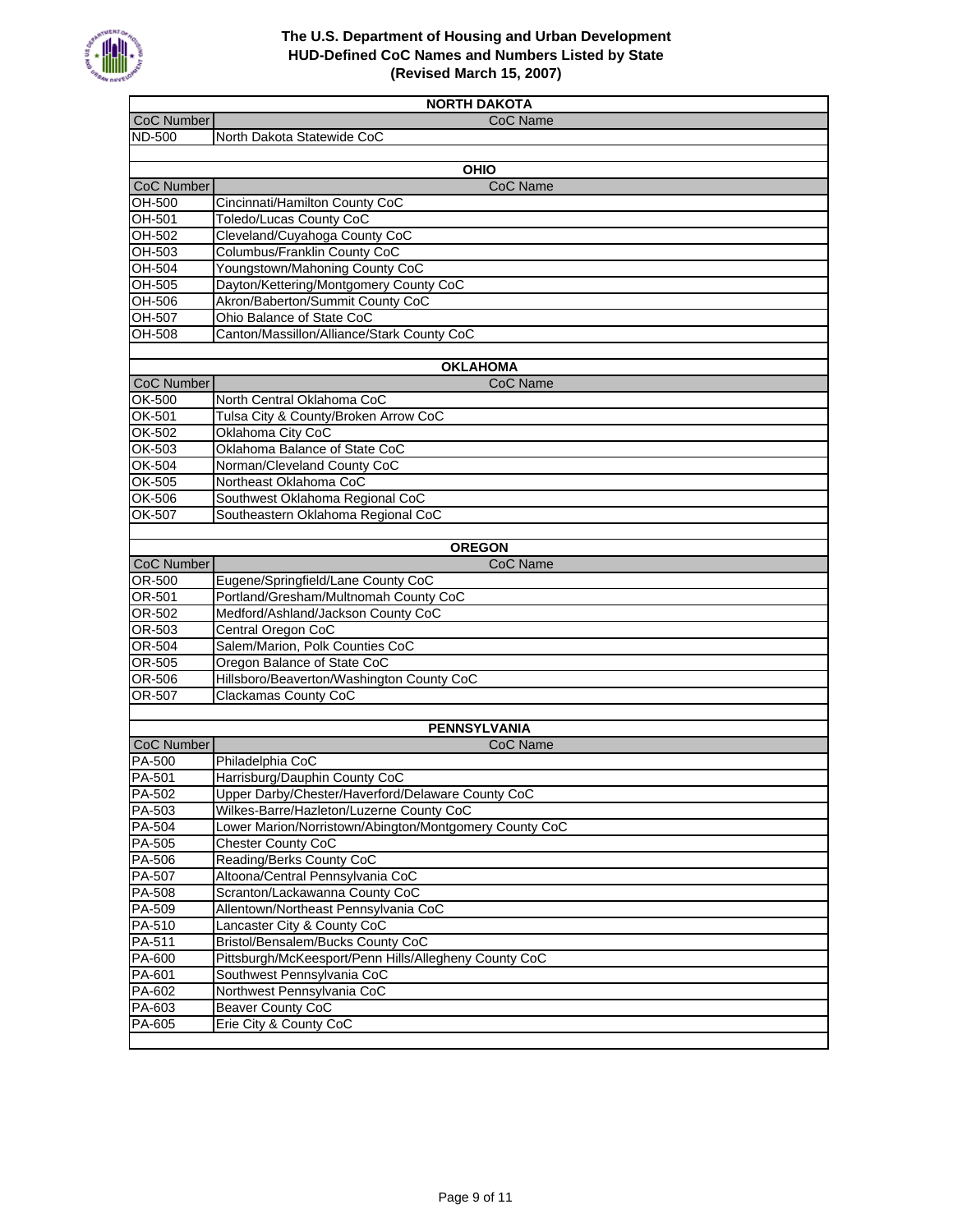

| <b>NORTH DAKOTA</b>     |                                                                    |  |
|-------------------------|--------------------------------------------------------------------|--|
| CoC Number              | CoC Name                                                           |  |
| <b>ND-500</b>           | North Dakota Statewide CoC                                         |  |
|                         |                                                                    |  |
|                         | <b>OHIO</b>                                                        |  |
| CoC Number              | CoC Name                                                           |  |
| <b>OH-500</b>           | Cincinnati/Hamilton County CoC                                     |  |
| OH-501                  | <b>Toledo/Lucas County CoC</b>                                     |  |
| OH-502                  | Cleveland/Cuyahoga County CoC                                      |  |
| OH-503                  | Columbus/Franklin County CoC                                       |  |
| OH-504                  | Youngstown/Mahoning County CoC                                     |  |
| OH-505                  | Dayton/Kettering/Montgomery County CoC                             |  |
| OH-506                  | Akron/Baberton/Summit County CoC                                   |  |
| <b>OH-507</b>           | Ohio Balance of State CoC                                          |  |
| <b>OH-508</b>           | Canton/Massillon/Alliance/Stark County CoC                         |  |
|                         |                                                                    |  |
|                         | <b>OKLAHOMA</b>                                                    |  |
| CoC Number              | CoC Name                                                           |  |
| OK-500                  | North Central Oklahoma CoC                                         |  |
| OK-501                  | Tulsa City & County/Broken Arrow CoC                               |  |
| OK-502                  | Oklahoma City CoC                                                  |  |
| OK-503                  | Oklahoma Balance of State CoC                                      |  |
| OK-504                  | Norman/Cleveland County CoC                                        |  |
| OK-505                  | Northeast Oklahoma CoC                                             |  |
| OK-506<br><b>OK-507</b> | Southwest Oklahoma Regional CoC                                    |  |
|                         | Southeastern Oklahoma Regional CoC                                 |  |
|                         | <b>OREGON</b>                                                      |  |
| CoC Number              | <b>CoC Name</b>                                                    |  |
| OR-500                  | Eugene/Springfield/Lane County CoC                                 |  |
| <b>OR-501</b>           | Portland/Gresham/Multnomah County CoC                              |  |
| <b>OR-502</b>           | Medford/Ashland/Jackson County CoC                                 |  |
| OR-503                  | Central Oregon CoC                                                 |  |
| OR-504                  | Salem/Marion, Polk Counties CoC                                    |  |
| <b>OR-505</b>           | Oregon Balance of State CoC                                        |  |
| OR-506                  | Hillsboro/Beaverton/Washington County CoC                          |  |
| <b>OR-507</b>           | <b>Clackamas County CoC</b>                                        |  |
|                         |                                                                    |  |
|                         | <b>PENNSYLVANIA</b>                                                |  |
| CoC Number              | CoC Name                                                           |  |
| PA-500                  | Philadelphia CoC                                                   |  |
| PA-501                  | Harrisburg/Dauphin County CoC                                      |  |
| PA-502                  | Upper Darby/Chester/Haverford/Delaware County CoC                  |  |
| PA-503                  | Wilkes-Barre/Hazleton/Luzerne County CoC                           |  |
| PA-504                  | Lower Marion/Norristown/Abington/Montgomery County CoC             |  |
| PA-505                  | Chester County CoC                                                 |  |
| PA-506                  | Reading/Berks County CoC                                           |  |
| PA-507                  | Altoona/Central Pennsylvania CoC<br>Scranton/Lackawanna County CoC |  |
| PA-508<br>PA-509        | Allentown/Northeast Pennsylvania CoC                               |  |
| PA-510                  | Lancaster City & County CoC                                        |  |
| PA-511                  | Bristol/Bensalem/Bucks County CoC                                  |  |
| PA-600                  | Pittsburgh/McKeesport/Penn Hills/Allegheny County CoC              |  |
| PA-601                  | Southwest Pennsylvania CoC                                         |  |
| PA-602                  | Northwest Pennsylvania CoC                                         |  |
| PA-603                  | <b>Beaver County CoC</b>                                           |  |
| PA-605                  | Erie City & County CoC                                             |  |
|                         |                                                                    |  |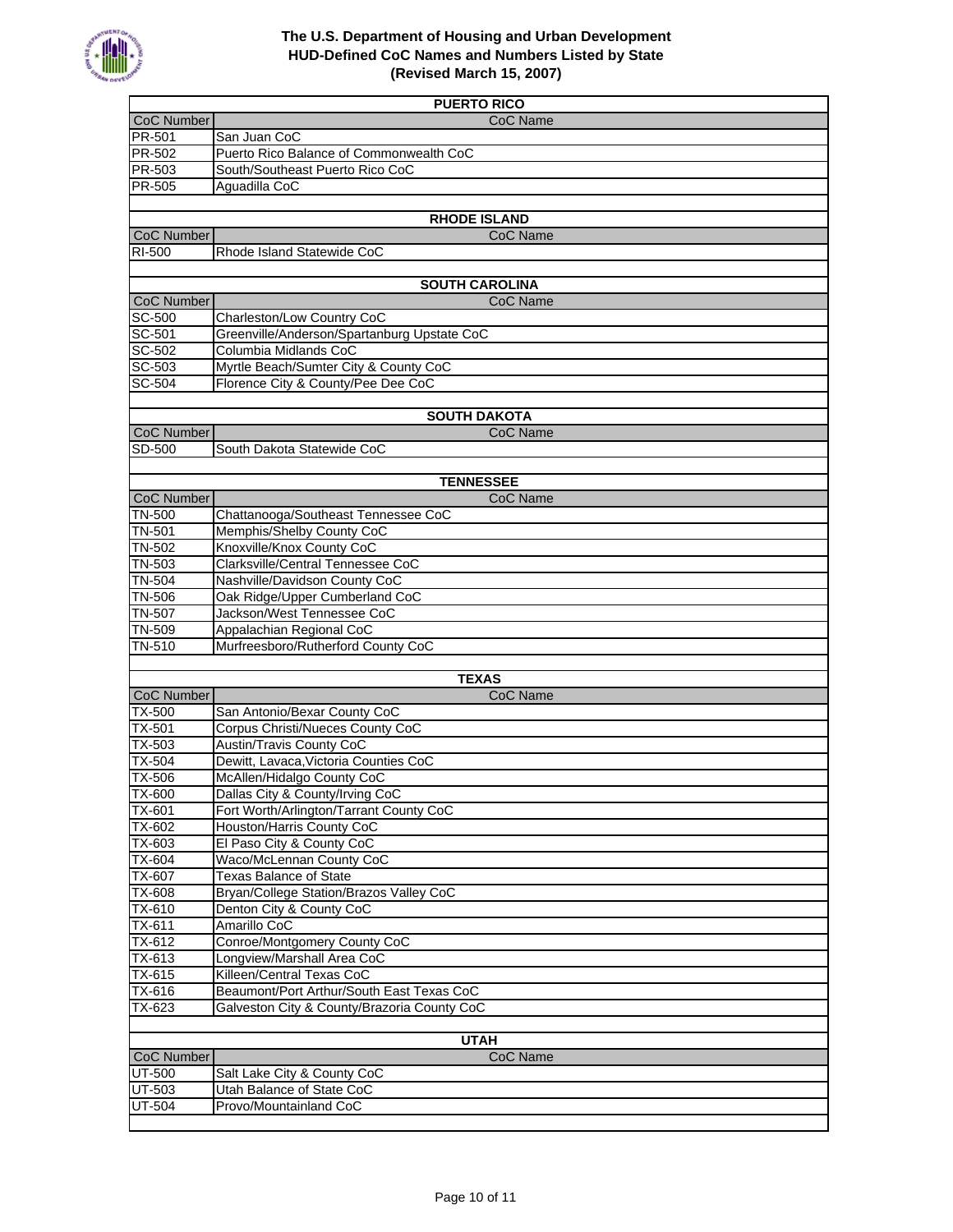

| <b>PUERTO RICO</b> |                                                                  |  |
|--------------------|------------------------------------------------------------------|--|
| <b>CoC Number</b>  | CoC Name                                                         |  |
| <b>PR-501</b>      | San Juan CoC                                                     |  |
| <b>PR-502</b>      | Puerto Rico Balance of Commonwealth CoC                          |  |
| PR-503             | South/Southeast Puerto Rico CoC                                  |  |
| PR-505             | Aguadilla CoC                                                    |  |
|                    |                                                                  |  |
|                    | <b>RHODE ISLAND</b>                                              |  |
| CoC Number         | CoC Name                                                         |  |
| RI-500             | Rhode Island Statewide CoC                                       |  |
|                    |                                                                  |  |
|                    | <b>SOUTH CAROLINA</b>                                            |  |
| CoC Number         | CoC Name                                                         |  |
| SC-500             | Charleston/Low Country CoC                                       |  |
| SC-501             | Greenville/Anderson/Spartanburg Upstate CoC                      |  |
| SC-502             | Columbia Midlands CoC                                            |  |
| SC-503             | Myrtle Beach/Sumter City & County CoC                            |  |
| SC-504             | Florence City & County/Pee Dee CoC                               |  |
|                    |                                                                  |  |
|                    | <b>SOUTH DAKOTA</b>                                              |  |
| CoC Number         | CoC Name                                                         |  |
| SD-500             | South Dakota Statewide CoC                                       |  |
|                    |                                                                  |  |
|                    | <b>TENNESSEE</b>                                                 |  |
| CoC Number         | CoC Name                                                         |  |
| <b>TN-500</b>      | Chattanooga/Southeast Tennessee CoC                              |  |
| <b>TN-501</b>      | Memphis/Shelby County CoC                                        |  |
| <b>TN-502</b>      | Knoxville/Knox County CoC                                        |  |
| <b>TN-503</b>      | Clarksville/Central Tennessee CoC                                |  |
| <b>TN-504</b>      | Nashville/Davidson County CoC                                    |  |
| <b>TN-506</b>      | Oak Ridge/Upper Cumberland CoC                                   |  |
| <b>TN-507</b>      | Jackson/West Tennessee CoC                                       |  |
| TN-509             | Appalachian Regional CoC                                         |  |
| <b>TN-510</b>      | Murfreesboro/Rutherford County CoC                               |  |
|                    |                                                                  |  |
|                    | <b>TEXAS</b>                                                     |  |
| CoC Number         | CoC Name                                                         |  |
| TX-500             | San Antonio/Bexar County CoC<br>Corpus Christi/Nueces County CoC |  |
| TX-501<br>TX-503   | <b>Austin/Travis County CoC</b>                                  |  |
| TX-504             | Dewitt, Lavaca, Victoria Counties CoC                            |  |
| TX-506             | McAllen/Hidalgo County CoC                                       |  |
|                    | Dallas City & County/Irving CoC                                  |  |
| $1X-600$<br>TX-601 | Fort Worth/Arlington/Tarrant County CoC                          |  |
| TX-602             | Houston/Harris County CoC                                        |  |
| TX-603             | El Paso City & County CoC                                        |  |
| TX-604             | Waco/McLennan County CoC                                         |  |
| TX-607             | <b>Texas Balance of State</b>                                    |  |
| TX-608             | Bryan/College Station/Brazos Valley CoC                          |  |
| TX-610             | Denton City & County CoC                                         |  |
| TX-611             | Amarillo CoC                                                     |  |
| TX-612             | Conroe/Montgomery County CoC                                     |  |
| TX-613             | Longview/Marshall Area CoC                                       |  |
| TX-615             | Killeen/Central Texas CoC                                        |  |
| $TX-616$           | Beaumont/Port Arthur/South East Texas CoC                        |  |
| TX-623             | Galveston City & County/Brazoria County CoC                      |  |
|                    |                                                                  |  |
|                    | <b>UTAH</b>                                                      |  |
| CoC Number         | CoC Name                                                         |  |
| UT-500             | Salt Lake City & County CoC                                      |  |
| UT-503             | Utah Balance of State CoC                                        |  |
| UT-504             | Provo/Mountainland CoC                                           |  |
|                    |                                                                  |  |